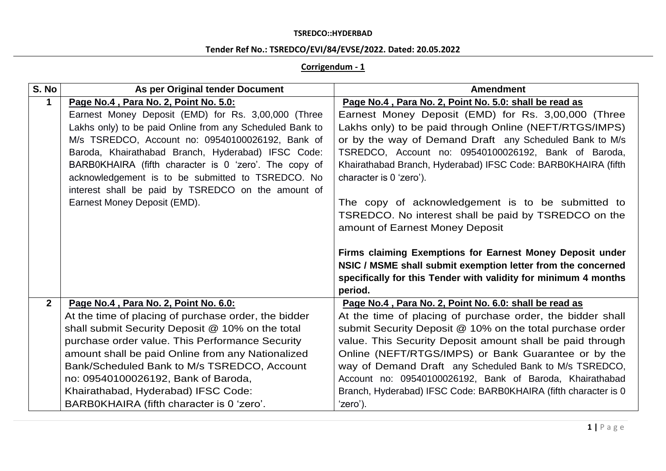# **Tender Ref No.: TSREDCO/EVI/84/EVSE/2022. Dated: 20.05.2022**

## **Corrigendum - 1**

| S. No          | As per Original tender Document                          | <b>Amendment</b>                                                |
|----------------|----------------------------------------------------------|-----------------------------------------------------------------|
| 1              | Page No.4, Para No. 2, Point No. 5.0:                    | Page No.4, Para No. 2, Point No. 5.0: shall be read as          |
|                | Earnest Money Deposit (EMD) for Rs. 3,00,000 (Three      | Earnest Money Deposit (EMD) for Rs. 3,00,000 (Three             |
|                | Lakhs only) to be paid Online from any Scheduled Bank to | Lakhs only) to be paid through Online (NEFT/RTGS/IMPS)          |
|                | M/s TSREDCO, Account no: 09540100026192, Bank of         | or by the way of Demand Draft any Scheduled Bank to M/s         |
|                | Baroda, Khairathabad Branch, Hyderabad) IFSC Code:       | TSREDCO, Account no: 09540100026192, Bank of Baroda,            |
|                | BARB0KHAIRA (fifth character is 0 'zero'. The copy of    | Khairathabad Branch, Hyderabad) IFSC Code: BARB0KHAIRA (fifth   |
|                | acknowledgement is to be submitted to TSREDCO. No        | character is 0 'zero').                                         |
|                | interest shall be paid by TSREDCO on the amount of       |                                                                 |
|                | Earnest Money Deposit (EMD).                             | The copy of acknowledgement is to be submitted to               |
|                |                                                          | TSREDCO. No interest shall be paid by TSREDCO on the            |
|                |                                                          | amount of Earnest Money Deposit                                 |
|                |                                                          |                                                                 |
|                |                                                          | Firms claiming Exemptions for Earnest Money Deposit under       |
|                |                                                          | NSIC / MSME shall submit exemption letter from the concerned    |
|                |                                                          | specifically for this Tender with validity for minimum 4 months |
|                |                                                          | period.                                                         |
| $\overline{2}$ | Page No.4, Para No. 2, Point No. 6.0:                    | Page No.4, Para No. 2, Point No. 6.0: shall be read as          |
|                | At the time of placing of purchase order, the bidder     | At the time of placing of purchase order, the bidder shall      |
|                | shall submit Security Deposit @ 10% on the total         | submit Security Deposit @ 10% on the total purchase order       |
|                | purchase order value. This Performance Security          | value. This Security Deposit amount shall be paid through       |
|                | amount shall be paid Online from any Nationalized        | Online (NEFT/RTGS/IMPS) or Bank Guarantee or by the             |
|                | Bank/Scheduled Bank to M/s TSREDCO, Account              | way of Demand Draft any Scheduled Bank to M/s TSREDCO,          |
|                | no: 09540100026192, Bank of Baroda,                      | Account no: 09540100026192, Bank of Baroda, Khairathabad        |
|                | Khairathabad, Hyderabad) IFSC Code:                      | Branch, Hyderabad) IFSC Code: BARB0KHAIRA (fifth character is 0 |
|                | BARB0KHAIRA (fifth character is 0 'zero'.                | 'zero').                                                        |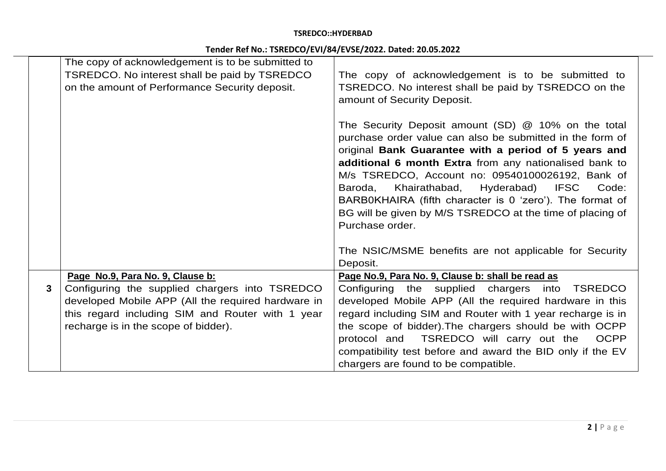# **Tender Ref No.: TSREDCO/EVI/84/EVSE/2022. Dated: 20.05.2022**

|   | The copy of acknowledgement is to be submitted to                                               |                                                                                                                       |
|---|-------------------------------------------------------------------------------------------------|-----------------------------------------------------------------------------------------------------------------------|
|   | TSREDCO. No interest shall be paid by TSREDCO<br>on the amount of Performance Security deposit. | The copy of acknowledgement is to be submitted to<br>TSREDCO. No interest shall be paid by TSREDCO on the             |
|   |                                                                                                 | amount of Security Deposit.                                                                                           |
|   |                                                                                                 |                                                                                                                       |
|   |                                                                                                 | The Security Deposit amount (SD) @ 10% on the total                                                                   |
|   |                                                                                                 | purchase order value can also be submitted in the form of                                                             |
|   |                                                                                                 | original Bank Guarantee with a period of 5 years and                                                                  |
|   |                                                                                                 | additional 6 month Extra from any nationalised bank to                                                                |
|   |                                                                                                 | M/s TSREDCO, Account no: 09540100026192, Bank of                                                                      |
|   |                                                                                                 | Khairathabad,<br>Hyderabad)<br><b>IFSC</b><br>Baroda,<br>Code:                                                        |
|   |                                                                                                 | BARB0KHAIRA (fifth character is 0 'zero'). The format of<br>BG will be given by M/S TSREDCO at the time of placing of |
|   |                                                                                                 | Purchase order.                                                                                                       |
|   |                                                                                                 |                                                                                                                       |
|   |                                                                                                 | The NSIC/MSME benefits are not applicable for Security                                                                |
|   |                                                                                                 | Deposit.                                                                                                              |
|   | Page No.9, Para No. 9, Clause b:                                                                | Page No.9, Para No. 9, Clause b: shall be read as                                                                     |
| 3 | Configuring the supplied chargers into TSREDCO                                                  | Configuring the supplied chargers into<br><b>TSREDCO</b>                                                              |
|   | developed Mobile APP (All the required hardware in                                              | developed Mobile APP (All the required hardware in this                                                               |
|   | this regard including SIM and Router with 1 year                                                | regard including SIM and Router with 1 year recharge is in                                                            |
|   | recharge is in the scope of bidder).                                                            | the scope of bidder). The chargers should be with OCPP                                                                |
|   |                                                                                                 | protocol and<br>TSREDCO will carry out the<br><b>OCPP</b>                                                             |
|   |                                                                                                 | compatibility test before and award the BID only if the EV                                                            |
|   |                                                                                                 | chargers are found to be compatible.                                                                                  |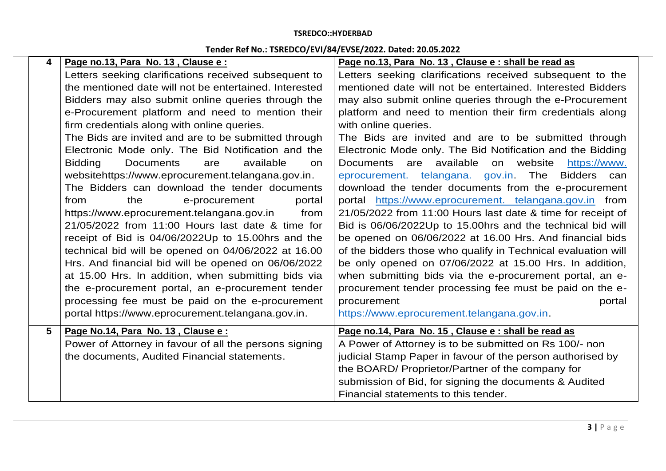# **Tender Ref No.: TSREDCO/EVI/84/EVSE/2022. Dated: 20.05.2022**

| 4               | Page no.13, Para No. 13, Clause e:                            | Page no.13, Para No. 13, Clause e : shall be read as          |
|-----------------|---------------------------------------------------------------|---------------------------------------------------------------|
|                 | Letters seeking clarifications received subsequent to         | Letters seeking clarifications received subsequent to the     |
|                 | the mentioned date will not be entertained. Interested        | mentioned date will not be entertained. Interested Bidders    |
|                 | Bidders may also submit online queries through the            | may also submit online queries through the e-Procurement      |
|                 | e-Procurement platform and need to mention their              | platform and need to mention their firm credentials along     |
|                 | firm credentials along with online queries.                   | with online queries.                                          |
|                 | The Bids are invited and are to be submitted through          | The Bids are invited and are to be submitted through          |
|                 | Electronic Mode only. The Bid Notification and the            | Electronic Mode only. The Bid Notification and the Bidding    |
|                 | <b>Bidding</b><br><b>Documents</b><br>available<br>are<br>on. | available on website<br>Documents are<br>https://www.         |
|                 | websitehttps://www.eprocurement.telangana.gov.in.             | eprocurement. telangana. gov.in. The Bidders can              |
|                 | The Bidders can download the tender documents                 | download the tender documents from the e-procurement          |
|                 | from<br>the<br>portal<br>e-procurement                        | portal https://www.eprocurement. telangana.gov.in from        |
|                 | https://www.eprocurement.telangana.gov.in<br>from             | 21/05/2022 from 11:00 Hours last date & time for receipt of   |
|                 | 21/05/2022 from 11:00 Hours last date & time for              | Bid is 06/06/2022Up to 15.00hrs and the technical bid will    |
|                 | receipt of Bid is 04/06/2022Up to 15.00hrs and the            | be opened on 06/06/2022 at 16.00 Hrs. And financial bids      |
|                 | technical bid will be opened on 04/06/2022 at 16.00           | of the bidders those who qualify in Technical evaluation will |
|                 | Hrs. And financial bid will be opened on 06/06/2022           | be only opened on 07/06/2022 at 15.00 Hrs. In addition,       |
|                 | at 15.00 Hrs. In addition, when submitting bids via           | when submitting bids via the e-procurement portal, an e-      |
|                 | the e-procurement portal, an e-procurement tender             | procurement tender processing fee must be paid on the e-      |
|                 | processing fee must be paid on the e-procurement              | procurement<br>portal                                         |
|                 | portal https://www.eprocurement.telangana.gov.in.             | https://www.eprocurement.telangana.gov.in.                    |
| $5\phantom{.0}$ | Page No.14, Para No. 13, Clause e:                            | Page no.14, Para No. 15, Clause e : shall be read as          |
|                 | Power of Attorney in favour of all the persons signing        | A Power of Attorney is to be submitted on Rs 100/- non        |
|                 | the documents, Audited Financial statements.                  | judicial Stamp Paper in favour of the person authorised by    |
|                 |                                                               | the BOARD/ Proprietor/Partner of the company for              |
|                 |                                                               | submission of Bid, for signing the documents & Audited        |
|                 |                                                               | Financial statements to this tender.                          |